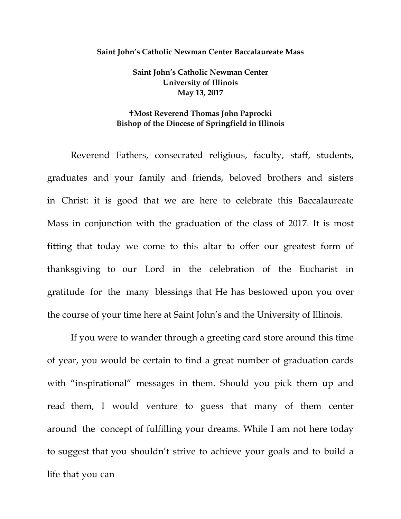## **Saint John's Catholic Newman Center Baccalaureate Mass**

**Saint John's Catholic Newman Center University of Illinois May 13, 2017** 

## **Most Reverend Thomas John Paprocki Bishop of the Diocese of Springfield in Illinois**

Reverend Fathers, consecrated religious, faculty, staff, students, graduates and your family and friends, beloved brothers and sisters in Christ: it is good that we are here to celebrate this Baccalaureate Mass in conjunction with the graduation of the class of 2017. It is most fitting that today we come to this altar to offer our greatest form of thanksgiving to our Lord in the celebration of the Eucharist in gratitude for the many blessings that He has bestowed upon you over the course of your time here at Saint John's and the University of Illinois.

If you were to wander through a greeting card store around this time of year, you would be certain to find a great number of graduation cards with "inspirational" messages in them. Should you pick them up and read them, I would venture to guess that many of them center around the concept of fulfilling your dreams. While I am not here today to suggest that you shouldn't strive to achieve your goals and to build a life that you can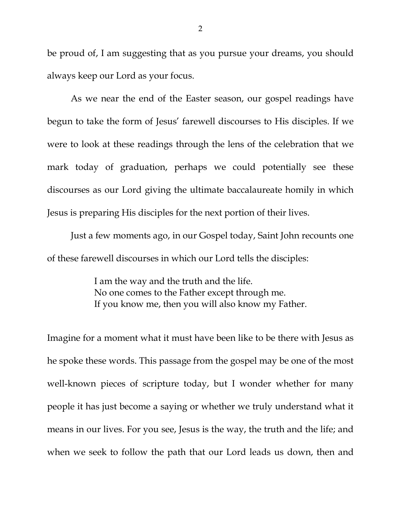be proud of, I am suggesting that as you pursue your dreams, you should always keep our Lord as your focus.

As we near the end of the Easter season, our gospel readings have begun to take the form of Jesus' farewell discourses to His disciples. If we were to look at these readings through the lens of the celebration that we mark today of graduation, perhaps we could potentially see these discourses as our Lord giving the ultimate baccalaureate homily in which Jesus is preparing His disciples for the next portion of their lives.

Just a few moments ago, in our Gospel today, Saint John recounts one of these farewell discourses in which our Lord tells the disciples:

> I am the way and the truth and the life. No one comes to the Father except through me. If you know me, then you will also know my Father.

Imagine for a moment what it must have been like to be there with Jesus as he spoke these words. This passage from the gospel may be one of the most well-known pieces of scripture today, but I wonder whether for many people it has just become a saying or whether we truly understand what it means in our lives. For you see, Jesus is the way, the truth and the life; and when we seek to follow the path that our Lord leads us down, then and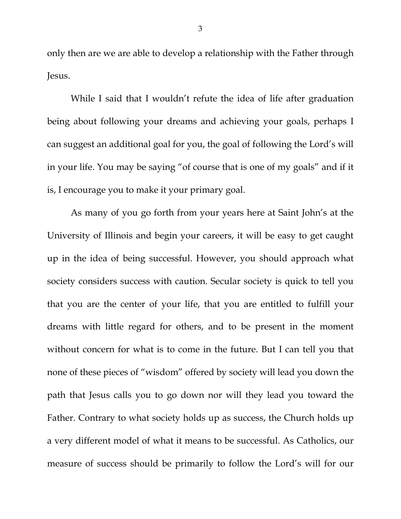only then are we are able to develop a relationship with the Father through Jesus.

While I said that I wouldn't refute the idea of life after graduation being about following your dreams and achieving your goals, perhaps I can suggest an additional goal for you, the goal of following the Lord's will in your life. You may be saying "of course that is one of my goals" and if it is, I encourage you to make it your primary goal.

As many of you go forth from your years here at Saint John's at the University of Illinois and begin your careers, it will be easy to get caught up in the idea of being successful. However, you should approach what society considers success with caution. Secular society is quick to tell you that you are the center of your life, that you are entitled to fulfill your dreams with little regard for others, and to be present in the moment without concern for what is to come in the future. But I can tell you that none of these pieces of "wisdom" offered by society will lead you down the path that Jesus calls you to go down nor will they lead you toward the Father. Contrary to what society holds up as success, the Church holds up a very different model of what it means to be successful. As Catholics, our measure of success should be primarily to follow the Lord's will for our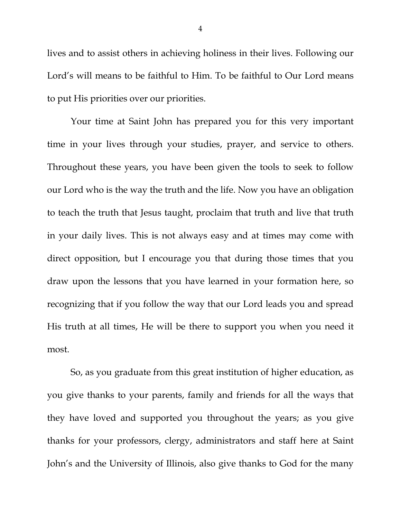lives and to assist others in achieving holiness in their lives. Following our Lord's will means to be faithful to Him. To be faithful to Our Lord means to put His priorities over our priorities.

Your time at Saint John has prepared you for this very important time in your lives through your studies, prayer, and service to others. Throughout these years, you have been given the tools to seek to follow our Lord who is the way the truth and the life. Now you have an obligation to teach the truth that Jesus taught, proclaim that truth and live that truth in your daily lives. This is not always easy and at times may come with direct opposition, but I encourage you that during those times that you draw upon the lessons that you have learned in your formation here, so recognizing that if you follow the way that our Lord leads you and spread His truth at all times, He will be there to support you when you need it most.

So, as you graduate from this great institution of higher education, as you give thanks to your parents, family and friends for all the ways that they have loved and supported you throughout the years; as you give thanks for your professors, clergy, administrators and staff here at Saint John's and the University of Illinois, also give thanks to God for the many

4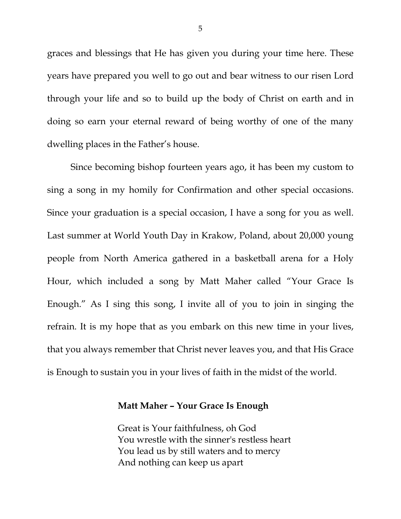graces and blessings that He has given you during your time here. These years have prepared you well to go out and bear witness to our risen Lord through your life and so to build up the body of Christ on earth and in doing so earn your eternal reward of being worthy of one of the many dwelling places in the Father's house.

Since becoming bishop fourteen years ago, it has been my custom to sing a song in my homily for Confirmation and other special occasions. Since your graduation is a special occasion, I have a song for you as well. Last summer at World Youth Day in Krakow, Poland, about 20,000 young people from North America gathered in a basketball arena for a Holy Hour, which included a song by Matt Maher called "Your Grace Is Enough." As I sing this song, I invite all of you to join in singing the refrain. It is my hope that as you embark on this new time in your lives, that you always remember that Christ never leaves you, and that His Grace is Enough to sustain you in your lives of faith in the midst of the world.

## **Matt Maher – Your Grace Is Enough**

Great is Your faithfulness, oh God You wrestle with the sinner's restless heart You lead us by still waters and to mercy And nothing can keep us apart